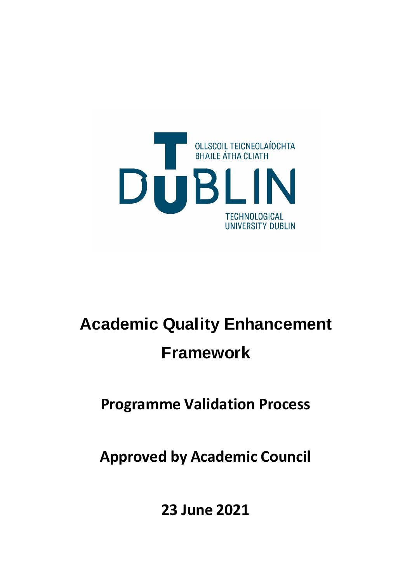

# **Academic Quality Enhancement Framework**

**Programme Validation Process**

**Approved by Academic Council** 

**23 June 2021**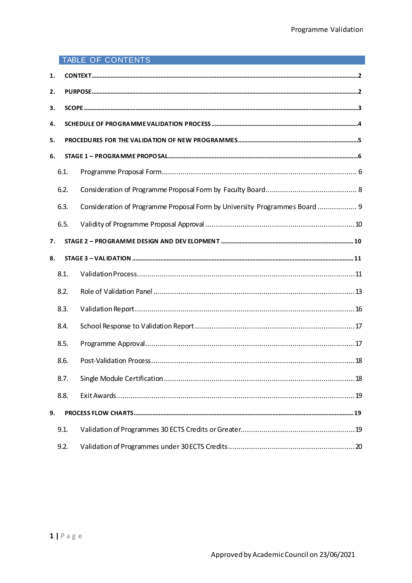# TABLE OF CONTENTS

| 1. |      |                                                                            |
|----|------|----------------------------------------------------------------------------|
| 2. |      |                                                                            |
| З. |      |                                                                            |
| 4. |      |                                                                            |
| 5. |      |                                                                            |
| 6. |      |                                                                            |
|    | 6.1. |                                                                            |
|    | 6.2. |                                                                            |
|    | 6.3. | Consideration of Programme Proposal Form by University Programmes Board  9 |
|    | 6.5. |                                                                            |
| 7. |      |                                                                            |
| 8. |      |                                                                            |
|    | 8.1. |                                                                            |
|    | 8.2. |                                                                            |
|    | 8.3. |                                                                            |
|    | 8.4. |                                                                            |
|    | 8.5. |                                                                            |
|    | 8.6. |                                                                            |
|    | 8.7. | 18                                                                         |
|    | 8.8. |                                                                            |
| 9. |      |                                                                            |
|    | 9.1. |                                                                            |
|    | 9.2. |                                                                            |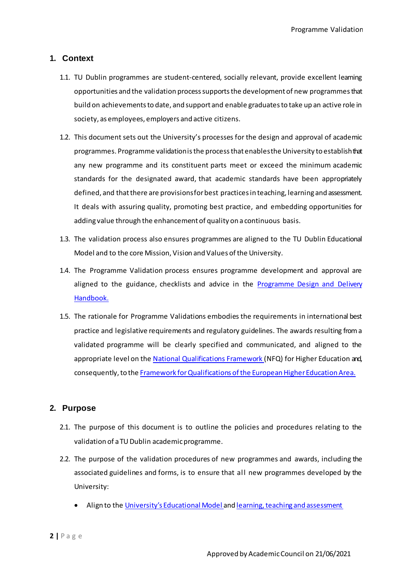# <span id="page-2-0"></span>**1. Context**

- 1.1. TU Dublin programmes are student-centered, socially relevant, provide excellent learning opportunities and the validation process supports the development of new programmes that build on achievements to date, and support and enable graduates to take up an active role in society, as employees, employers and active citizens.
- 1.2. This document sets out the University's processes for the design and approval of academic programmes. Programme validation is the process that enables the University to establish that any new programme and its constituent parts meet or exceed the minimum academic standards for the designated award, that academic standards have been appropriately defined, and that there are provisions for best practices in teaching, learning and assessment. It deals with assuring quality, promoting best practice, and embedding opportunities for adding value through the enhancement of quality on a continuous basis.
- 1.3. The validation process also ensures programmes are aligned to the TU Dublin Educational Model and to the core Mission, Vision and Values of the University.
- 1.4. The Programme Validation process ensures programme development and approval are aligned to the guidance, checklists and advice in the Programme Design and Delivery Handbook.
- 1.5. The rationale for Programme Validations embodies the requirements in international best practice and legislative requirements and regulatory guidelines. The awards resulting from a validated programme will be clearly specified and communicated, and aligned to the appropriate level on th[e National Qualifications Framework \(](https://nfq.qqi.ie/)NFQ) for Higher Education and, consequently, to th[e Framework for Qualifications of the European Higher Education](https://nfq.qqi.ie/assets/qualifications_frameworks.pdf) Area.

# <span id="page-2-1"></span>**2. Purpose**

- 2.1. The purpose of this document is to outline the policies and procedures relating to the validation of a TU Dublin academicprogramme.
- 2.2. The purpose of the validation procedures of new programmes and awards, including the associated guidelines and forms, is to ensure that all new programmes developed by the University:
	- Align to the University's Educational Model and learning, teaching and assessment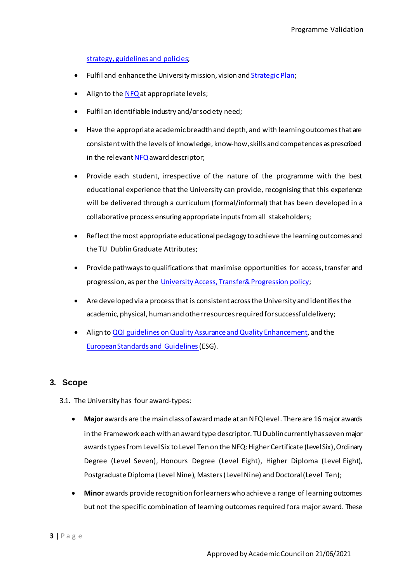strategy, guidelines and policies;

- Fulfil and enhance the University mission, vision and **Strategic Plan**;
- Align to th[e NFQ a](https://nfq.qqi.ie/)t appropriate levels;
- Fulfil an identifiable industry and/orsociety need;
- Have the appropriate academic breadth and depth, and with learning outcomes that are consistent with the levels of knowledge, know-how, skills and competences as prescribed in the relevan[t NFQ a](https://nfq.qqi.ie/)ward descriptor;
- Provide each student, irrespective of the nature of the programme with the best educational experience that the University can provide, recognising that this experience will be delivered through a curriculum (formal/informal) that has been developed in a collaborative process ensuring appropriate inputs from all stakeholders;
- Reflect the most appropriate educational pedagogy to achieve the learning outcomes and the TU Dublin Graduate Attributes;
- Provide pathways to qualifications that maximise opportunities for access, transfer and progression, as per the University Access, Transfer& Progression policy;
- Are developed via a process that is consistent across the University and identifies the academic, physical, human and other resources required for successful delivery;
- Align to [QQI guidelines on Quality Assurance and Quality Enhancement](https://www.qqi.ie/Articles/Pages/QA-Guidelines.aspx), and the [European Standards and Guidelines](https://enqa.eu/wp-content/uploads/2015/11/ESG_2015.pdf)(ESG).

#### <span id="page-3-0"></span>**3. Scope**

- 3.1. The University has four award-types:
	- **Major** awards are the main class of award made at an NFQ level. There are 16 major awards in the Framework each with an award type descriptor. TU Dublin currently has seven major awards types from Level Six to Level Ten on the NFQ: Higher Certificate (Level Six), Ordinary Degree (Level Seven), Honours Degree (Level Eight), Higher Diploma (Level Eight), Postgraduate Diploma (Level Nine), Masters (Level Nine) and Doctoral (Level Ten);
	- **Minor** awards provide recognition for learners who achieve a range of learning outcomes but not the specific combination of learning outcomes required fora major award. These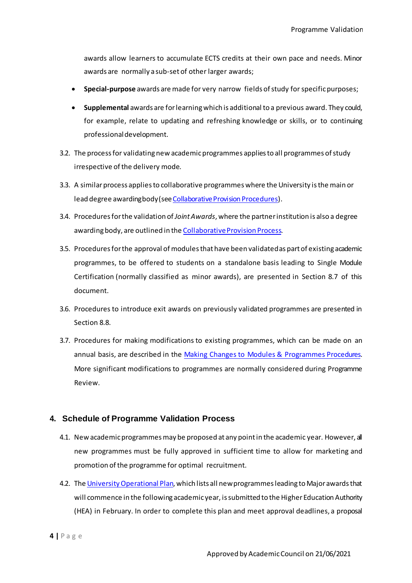awards allow learners to accumulate ECTS credits at their own pace and needs. Minor awards are normally a sub-set of other larger awards;

- **Special-purpose** awards are made for very narrow fields of study forspecificpurposes;
- **Supplemental** awards are for learning which is additional to a previous award. They could, for example, relate to updating and refreshing knowledge or skills, or to continuing professionaldevelopment.
- 3.2. The process for validating new academic programmes applies to all programmes of study irrespective of the delivery mode.
- 3.3. A similar process applies to collaborative programmes where the University is the main or lead degree awarding body (see Collaborative Provision Procedures).
- 3.4. Procedures for the validation of *Joint Awards*, where the partner institution is also a degree awarding body, are outlined in the Collaborative Provision Process.
- 3.5. Procedures forthe approval of modulesthat have been validated as part of existing academic programmes, to be offered to students on a standalone basis leading to Single Module Certification (normally classified as minor awards), are presented in Section 8.7 of this document.
- 3.6. Procedures to introduce exit awards on previously validated programmes are presented in Section 8.8.
- 3.7. Procedures for making modifications to existing programmes, which can be made on an annual basis, are described in the Making Changes to Modules & Programmes Procedures. More significant modifications to programmes are normally considered during Programme Review.

# <span id="page-4-0"></span>**4. Schedule of Programme Validation Process**

- 4.1. New academicprogrammes may be proposed at any point in the academic year. However, all new programmes must be fully approved in sufficient time to allow for marketing and promotion of the programme for optimal recruitment.
- 4.2. The University Operational Plan, which lists all new programmes leading to Major awards that will commence in the following academicyear, is submitted to the Higher Education Authority (HEA) in February. In order to complete this plan and meet approval deadlines, a proposal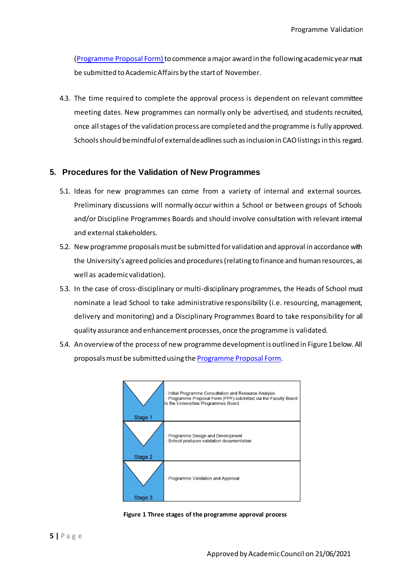(Programme Proposal Form) to commence a major award in the following academic year must be submitted to Academic Affairs by the start of November.

4.3. The time required to complete the approval process is dependent on relevant committee meeting dates. New programmes can normally only be advertised, and students recruited, once all stages of the validation process are completed and the programme is fully approved. Schools should be mindful of external deadlines such as inclusion in CAO listings in this regard.

#### <span id="page-5-0"></span>**5. Procedures for the Validation of New Programmes**

- 5.1. Ideas for new programmes can come from a variety of internal and external sources. Preliminary discussions will normally occur within a School or between groups of Schools and/or Discipline Programmes Boards and should involve consultation with relevant internal and external stakeholders.
- 5.2. New programme proposals must be submitted for validation and approval in accordance with the University's agreed policies and procedures (relating to finance and human resources, as well as academicvalidation).
- 5.3. In the case of cross-disciplinary or multi-disciplinary programmes, the Heads of School must nominate a lead School to take administrative responsibility (i.e. resourcing, management, delivery and monitoring) and a Disciplinary Programmes Board to take responsibility for all quality assurance and enhancement processes, once the programme is validated.
- 5.4. An overview of the process of new programme developmentis outlined in Figure1below. All proposals must be submitted using the Programme Proposal Form.



**Figure 1 Three stages of the programme approval process**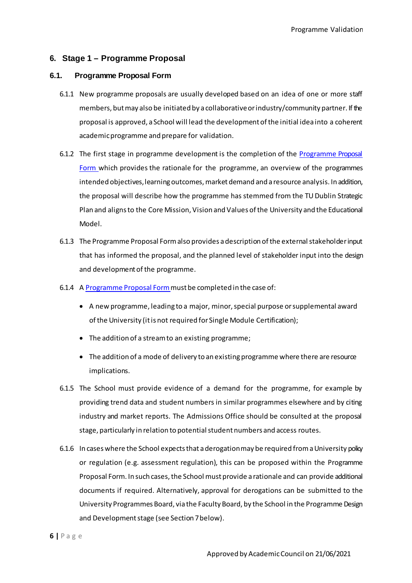# <span id="page-6-0"></span>**6. Stage 1 – Programme Proposal**

#### <span id="page-6-1"></span>**6.1. Programme Proposal Form**

- 6.1.1 New programme proposals are usually developed based on an idea of one or more staff members, but may also be initiated by a collaborativeorindustry/community partner. If the proposal is approved, a School will lead the development of the initial idea into a coherent academic programme and prepare for validation.
- 6.1.2 The first stage in programme development is the completion of the Programme Proposal Form which provides the rationale for the programme, an overview of the programmes intended objectives, learning outcomes, market demand and a resource analysis. In addition, the proposal will describe how the programme has stemmed from the TU Dublin Strategic Plan and aligns to the Core Mission, Vision and Values of the University and the Educational Model.
- 6.1.3 The Programme Proposal Form also provides a description of the external stakeholder input that has informed the proposal, and the planned level of stakeholder input into the design and development of the programme.
- 6.1.4 A Programme Proposal Form must be completed in the case of:
	- A new programme, leading to a major, minor, special purpose or supplemental award of the University (it is not required for Single Module Certification);
	- The addition of a stream to an existing programme;
	- The addition of a mode of delivery to an existing programme where there are resource implications.
- 6.1.5 The School must provide evidence of a demand for the programme, for example by providing trend data and student numbers in similar programmes elsewhere and by citing industry and market reports. The Admissions Office should be consulted at the proposal stage, particularly in relation to potential student numbers and access routes.
- 6.1.6 In cases where the School expects that a derogation may be required from a University policy or regulation (e.g. assessment regulation), this can be proposed within the Programme Proposal Form. In such cases, the School must provide a rationale and can provide additional documents if required. Alternatively, approval for derogations can be submitted to the University Programmes Board, via the Faculty Board, by the School in the Programme Design and Development stage (see Section 7below).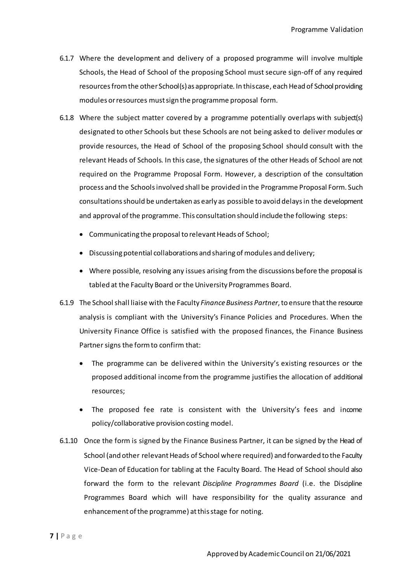- 6.1.7 Where the development and delivery of a proposed programme will involve multiple Schools, the Head of School of the proposing School must secure sign-off of any required resources from the other School(s) as appropriate. In this case, each Head of School providing modules or resources must sign the programme proposal form.
- 6.1.8 Where the subject matter covered by a programme potentially overlaps with subject(s) designated to other Schools but these Schools are not being asked to deliver modules or provide resources, the Head of School of the proposing School should consult with the relevant Heads of Schools. In this case, the signatures of the other Heads of School are not required on the Programme Proposal Form. However, a description of the consultation process and the Schools involved shall be provided in the Programme Proposal Form. Such consultations should be undertaken as early as possible to avoid delays in the development and approval of the programme. This consultation should include the following steps:
	- Communicating the proposal to relevant Heads of School;
	- Discussing potential collaborations and sharing of modules and delivery;
	- Where possible, resolving any issues arising from the discussions before the proposal is tabled at the Faculty Board or the University Programmes Board.
- 6.1.9 The School shall liaise with the Faculty *Finance Business Partner*, to ensure that the resource analysis is compliant with the University's Finance Policies and Procedures. When the University Finance Office is satisfied with the proposed finances, the Finance Business Partner signs the form to confirm that:
	- The programme can be delivered within the University's existing resources or the proposed additional income from the programme justifies the allocation of additional resources;
	- The proposed fee rate is consistent with the University's fees and income policy/collaborative provision costing model.
- 6.1.10 Once the form is signed by the Finance Business Partner, it can be signed by the Head of School (and other relevant Heads of School where required) and forwarded to the Faculty Vice-Dean of Education for tabling at the Faculty Board. The Head of School should also forward the form to the relevant *Discipline Programmes Board* (i.e. the Discipline Programmes Board which will have responsibility for the quality assurance and enhancement of the programme) at this stage for noting.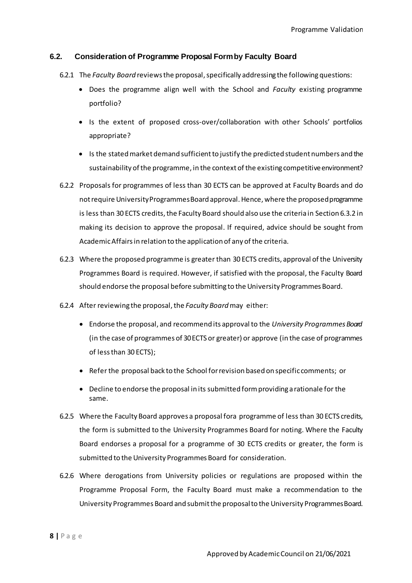# <span id="page-8-0"></span>**6.2. Consideration of Programme Proposal Form by Faculty Board**

- 6.2.1 The *Faculty Board* reviews the proposal, specifically addressing the following questions:
	- Does the programme align well with the School and *Faculty* existing programme portfolio?
	- Is the extent of proposed cross-over/collaboration with other Schools' portfolios appropriate?
	- Is the stated market demand sufficient to justify the predicted student numbers and the sustainability of the programme, in the context of the existing competitive environment?
- 6.2.2 Proposals for programmes of less than 30 ECTS can be approved at Faculty Boards and do not require University Programmes Board approval. Hence, where the proposed programme is less than 30 ECTS credits, the Faculty Board should also use the criteria in Section 6.3.2 in making its decision to approve the proposal. If required, advice should be sought from Academic Affairs in relation to the application of any of the criteria.
- 6.2.3 Where the proposed programme is greater than 30 ECTS credits, approval of the University Programmes Board is required. However, if satisfied with the proposal, the Faculty Board should endorse the proposal before submitting to the University Programmes Board.
- 6.2.4 After reviewing the proposal, the *Faculty Board* may either:
	- Endorse the proposal, and recommend its approval to the *University Programmes Board*  (in the case of programmes of 30 ECTS or greater) or approve (in the case of programmes of less than 30 ECTS);
	- Refer the proposal back to the School for revision based on specific comments; or
	- Decline to endorse the proposal in its submitted form providing a rationale for the same.
- 6.2.5 Where the Faculty Board approves a proposal fora programme of less than 30 ECTS credits, the form is submitted to the University Programmes Board for noting. Where the Faculty Board endorses a proposal for a programme of 30 ECTS credits or greater, the form is submitted to the University Programmes Board for consideration.
- 6.2.6 Where derogations from University policies or regulations are proposed within the Programme Proposal Form, the Faculty Board must make a recommendation to the University Programmes Board and submit the proposal to the University Programmes Board.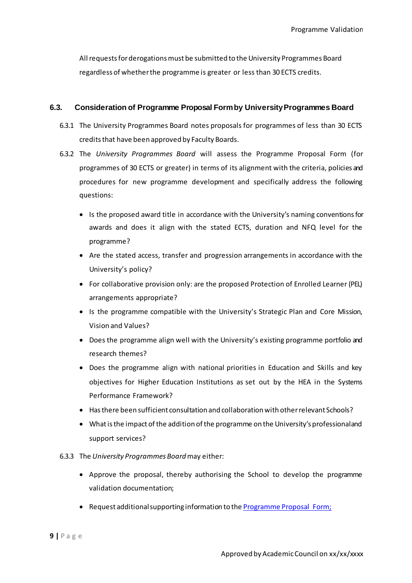All requests for derogations must be submitted to the University Programmes Board regardless of whether the programme is greater or less than 30 ECTS credits.

# <span id="page-9-0"></span>**6.3. Consideration of Programme Proposal Form by University Programmes Board**

- 6.3.1 The University Programmes Board notes proposals for programmes of less than 30 ECTS credits that have been approved by Faculty Boards.
- 6.3.2 The *University Programmes Board* will assess the Programme Proposal Form (for programmes of 30 ECTS or greater) in terms of its alignment with the criteria, policies and procedures for new programme development and specifically address the following questions:
	- Is the proposed award title in accordance with the University's naming conventions for awards and does it align with the stated ECTS, duration and NFQ level for the programme?
	- Are the stated access, transfer and progression arrangements in accordance with the University's policy?
	- For collaborative provision only: are the proposed Protection of Enrolled Learner (PEL) arrangements appropriate?
	- Is the programme compatible with the University's Strategic Plan and Core Mission, Vision and Values?
	- Does the programme align well with the University's existing programme portfolio and research themes?
	- Does the programme align with national priorities in Education and Skills and key objectives for Higher Education Institutions as set out by the HEA in the Systems Performance Framework?
	- Has there been sufficient consultation and collaboration with other relevant Schools?
	- What is the impact of the addition of the programme on the University's professional and support services?

#### 6.3.3 The *University Programmes Board* may either:

- Approve the proposal, thereby authorising the School to develop the programme validation documentation;
- Request additional supporting information to the Programme Proposal Form;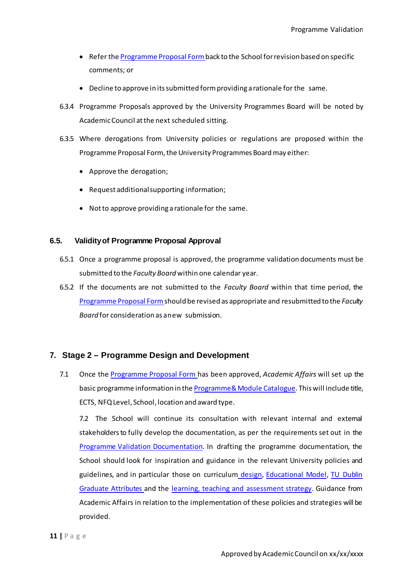- Refer the **Programme Proposal Form** back to the School for revision based on specific comments; or
- Decline to approve in its submitted form providing a rationale for the same.
- 6.3.4 Programme Proposals approved by the University Programmes Board will be noted by Academic Council at the next scheduled sitting.
- 6.3.5 Where derogations from University policies or regulations are proposed within the Programme Proposal Form, the University Programmes Board may either:
	- Approve the derogation;
	- Request additional supporting information;
	- Not to approve providing a rationale for the same.

# <span id="page-10-0"></span>**6.5. Validity of Programme Proposal Approval**

- 6.5.1 Once a programme proposal is approved, the programme validation documents must be submitted to the *Faculty Board* within one calendar year.
- 6.5.2 If the documents are not submitted to the *Faculty Board* within that time period, the Programme Proposal Form should be revised as appropriate and resubmitted to the *Faculty Board* for consideration as anew submission.

# <span id="page-10-1"></span>**7. Stage 2 – Programme Design and Development**

7.1 Once the Programme Proposal Form has been approved, *Academic Affairs* will set up the basic programme information in the Programme & Module Catalogue. This will include title, ECTS, NFQ Level, School, location and award type.

7.2 The School will continue its consultation with relevant internal and external stakeholders to fully develop the documentation, as per the requirements set out in the Programme Validation Documentation. In drafting the programme documentation, the School should look for inspiration and guidance in the relevant University policies and guidelines, and in particular those on curriculum design, Educational Model, TU Dublin Graduate Attributes and the learning, teaching and assessment strategy. Guidance from Academic Affairs in relation to the implementation of these policies and strategies will be provided.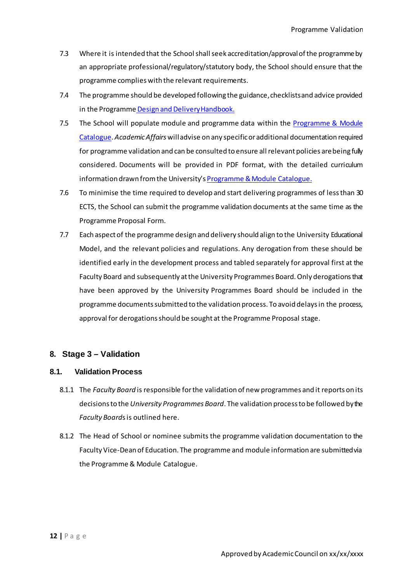- 7.3 Where it is intended that the School shall seek accreditation/approval of the programme by an appropriate professional/regulatory/statutory body, the School should ensure that the programme complies with the relevant requirements.
- 7.4 The programme should be developed following the guidance, checklists and advice provided in the Programme Design and Delivery Handbook.
- 7.5 The School will populate module and programme data within the [Programme & Module](https://dit.akarisoftware.com/curriculum/)  [Catalogue.](https://dit.akarisoftware.com/curriculum/) *Academic Affairs* will advise on any specific or additional documentation required for programme validation and can be consulted to ensure all relevant policies are being fully considered. Documents will be provided in PDF format, with the detailed curriculum information drawn from the University'[s Programme & Module](https://dit.akarisoftware.com/curriculum/) Catalogue.
- 7.6 To minimise the time required to develop and start delivering programmes of less than 30 ECTS, the School can submit the programme validation documents at the same time as the Programme Proposal Form.
- 7.7 Each aspect of the programme design and delivery should align to the University Educational Model, and the relevant policies and regulations. Any derogation from these should be identified early in the development process and tabled separately for approval first at the Faculty Board and subsequently at the University Programmes Board. Only derogations that have been approved by the University Programmes Board should be included in the programme documents submitted to the validation process. To avoid delays in the process, approval for derogations should be sought at the Programme Proposal stage.

# <span id="page-11-0"></span>**8. Stage 3 – Validation**

#### <span id="page-11-1"></span>**8.1. Validation Process**

- 8.1.1 The *Faculty Board* is responsible for the validation of new programmes and it reports on its decisions to the *University Programmes Board*. The validation process to be followed by the *Faculty Board*s is outlined here.
- 8.1.2 The Head of School or nominee submits the programme validation documentation to the Faculty Vice-Dean of Education. The programme and module information are submitted via the Programme & Module Catalogue.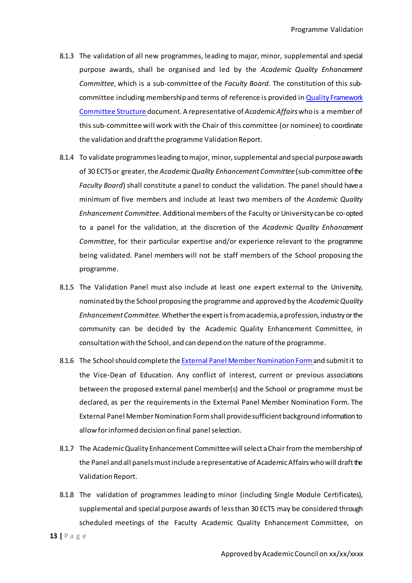- 8.1.3 The validation of all new programmes, leading to major, minor, supplemental and special purpose awards, shall be organised and led by the *Academic Quality Enhancement Committee*, which is a sub-committee of the *Faculty Board*. The constitution of this subcommittee including membership and terms of reference is provided in Quality Framework Committee Structure document. A representative of *Academic Affairs* who is a member of this sub-committee will work with the Chair of this committee (or nominee) to coordinate the validation and draft the programme Validation Report.
- 8.1.4 To validate programmes leading to major, minor, supplemental and special purpose awards of 30 ECTS or greater, the *Academic Quality Enhancement Committee* (sub-committee of the *Faculty Board*) shall constitute a panel to conduct the validation. The panel should have a minimum of five members and include at least two members of the *Academic Quality Enhancement Committee*. Additional members of the Faculty or University can be co-opted to a panel for the validation, at the discretion of the *Academic Quality Enhancement Committee*, for their particular expertise and/or experience relevant to the programme being validated. Panel members will not be staff members of the School proposing the programme.
- 8.1.5 The Validation Panel must also include at least one expert external to the University, nominated by the School proposing the programme and approved by the *Academic Quality Enhancement Committee*. Whether the expert is from academia, a profession, industry or the community can be decided by the Academic Quality Enhancement Committee, in consultation with the School, and can depend on the nature of the programme.
- 8.1.6 The School should complete the External Panel Member Nomination Form and submit it to the Vice-Dean of Education. Any conflict of interest, current or previous associations between the proposed external panel member(s) and the School or programme must be declared, as per the requirements in the External Panel Member Nomination Form. The External Panel Member Nomination Form shall provide sufficient background information to allow for informed decision on final panel selection.
- 8.1.7 The Academic Quality Enhancement Committee will select a Chair from the membership of the Panel and all panels must include a representative of Academic Affairs who will draft the Validation Report.
- 8.1.8 The validation of programmes leading to minor (including Single Module Certificates), supplemental and special purpose awards of less than 30 ECTS may be considered through scheduled meetings of the Faculty Academic Quality Enhancement Committee, on

**13 |** P a g e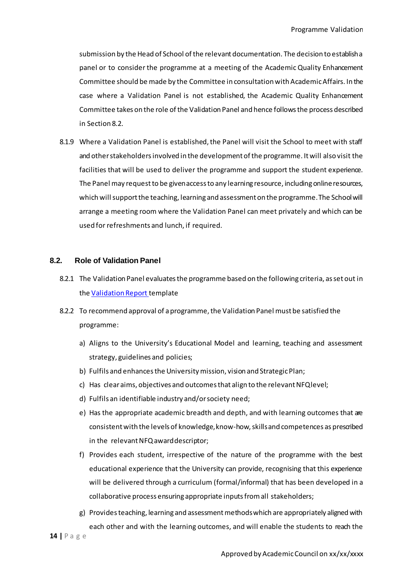submission by the Head of School of the relevant documentation. The decision to establish a panel or to consider the programme at a meeting of the Academic Quality Enhancement Committee should be made by the Committee in consultation with Academic Affairs. In the case where a Validation Panel is not established, the Academic Quality Enhancement Committee takes on the role of the Validation Panel and hence follows the process described in Section 8.2.

8.1.9 Where a Validation Panel is established, the Panel will visit the School to meet with staff and other stakeholders involved in the development of the programme. It will also visit the facilities that will be used to deliver the programme and support the student experience. The Panel may request to be given access to any learning resource, including online resources, which will support the teaching, learning and assessment on the programme. The School will arrange a meeting room where the Validation Panel can meet privately and which can be used for refreshments and lunch, if required.

#### <span id="page-13-0"></span>**8.2. Role of Validation Panel**

- 8.2.1 The Validation Panel evaluates the programme based on the following criteria, as set out in the Validation Report template
- 8.2.2 To recommend approval of a programme, the Validation Panel must be satisfied the programme:
	- a) Aligns to the University's Educational Model and learning, teaching and assessment strategy, guidelines and policies;
	- b) Fulfils and enhances the University mission, vision and StrategicPlan;
	- c) Has clear aims, objectives and outcomes that align to the relevant NFQlevel;
	- d) Fulfils an identifiable industry and/orsociety need;
	- e) Has the appropriate academic breadth and depth, and with learning outcomes that are consistent with the levels of knowledge,know-how, skills and competences as prescribed in the relevant NFQ awarddescriptor;
	- f) Provides each student, irrespective of the nature of the programme with the best educational experience that the University can provide, recognising that this experience will be delivered through a curriculum (formal/informal) that has been developed in a collaborative process ensuring appropriate inputs from all stakeholders;
	- g) Providesteaching, learning and assessment methods which are appropriately aligned with each other and with the learning outcomes, and will enable the students to reach the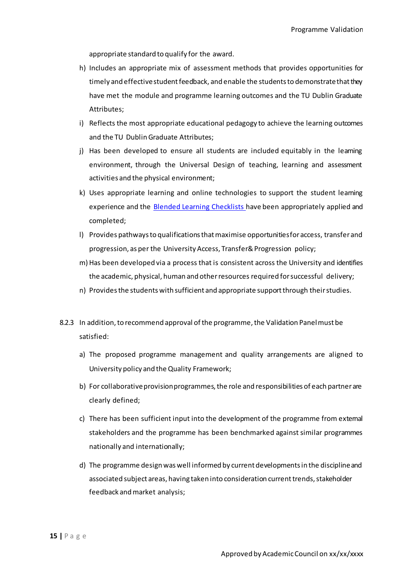appropriate standard to qualify for the award.

- h) Includes an appropriate mix of assessment methods that provides opportunities for timely and effective student feedback, and enable the students to demonstrate that they have met the module and programme learning outcomes and the TU Dublin Graduate Attributes;
- i) Reflects the most appropriate educational pedagogy to achieve the learning outcomes and the TU Dublin Graduate Attributes;
- j) Has been developed to ensure all students are included equitably in the learning environment, through the Universal Design of teaching, learning and assessment activities and the physical environment;
- k) Uses appropriate learning and online technologies to support the student learning experience and the Blended Learning Checklists have been appropriately applied and completed;
- l) Provides pathways to qualifications that maximise opportunities foraccess, transferand progression, as per the University Access, Transfer& Progression policy;
- m) Has been developed via a process that is consistent across the University and identifies the academic, physical, human and otherresources required forsuccessful delivery;
- n) Provides the students with sufficient and appropriate support through theirstudies.
- 8.2.3 In addition, to recommend approval of the programme, the Validation Panel must be satisfied:
	- a) The proposed programme management and quality arrangements are aligned to University policy and the Quality Framework;
	- b) For collaborative provision programmes, the role and responsibilities of each partner are clearly defined;
	- c) There has been sufficient input into the development of the programme from external stakeholders and the programme has been benchmarked against similar programmes nationally and internationally;
	- d) The programme designwaswell informed by current developmentsin the disciplineand associated subject areas, having taken into consideration current trends, stakeholder feedback and market analysis;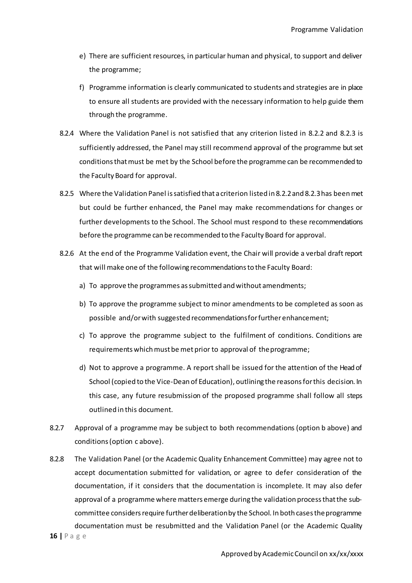- e) There are sufficient resources, in particular human and physical, to support and deliver the programme;
- f) Programme information is clearly communicated to students and strategies are in place to ensure all students are provided with the necessary information to help guide them through the programme.
- 8.2.4 Where the Validation Panel is not satisfied that any criterion listed in 8.2.2 and 8.2.3 is sufficiently addressed, the Panel may still recommend approval of the programme but set conditions that must be met by the School before the programme can be recommended to the Faculty Board for approval.
- 8.2.5 Where the Validation Panel is satisfied that a criterion listed in 8.2.2and 8.2.3has been met but could be further enhanced, the Panel may make recommendations for changes or further developments to the School. The School must respond to these recommendations before the programme can be recommended to the Faculty Board for approval.
- 8.2.6 At the end of the Programme Validation event, the Chair will provide a verbal draft report that will make one of the following recommendations to the Faculty Board:
	- a) To approve the programmes as submitted and without amendments;
	- b) To approve the programme subject to minor amendments to be completed as soon as possible and/orwith suggested recommendationsforfurtherenhancement;
	- c) To approve the programme subject to the fulfilment of conditions. Conditions are requirements which must be met prior to approval of theprogramme;
	- d) Not to approve a programme. A report shall be issued for the attention of the Head of School (copied to the Vice-Dean of Education), outlining the reasons forthis decision. In this case, any future resubmission of the proposed programme shall follow all steps outlined in this document.
- 8.2.7 Approval of a programme may be subject to both recommendations (option b above) and conditions (option c above).
- **16 |** P a g e 8.2.8 The Validation Panel (or the Academic Quality Enhancement Committee) may agree not to accept documentation submitted for validation, or agree to defer consideration of the documentation, if it considers that the documentation is incomplete. It may also defer approval of a programme where matters emerge during the validation process that the subcommittee considers require further deliberation by the School. In both cases the programme documentation must be resubmitted and the Validation Panel (or the Academic Quality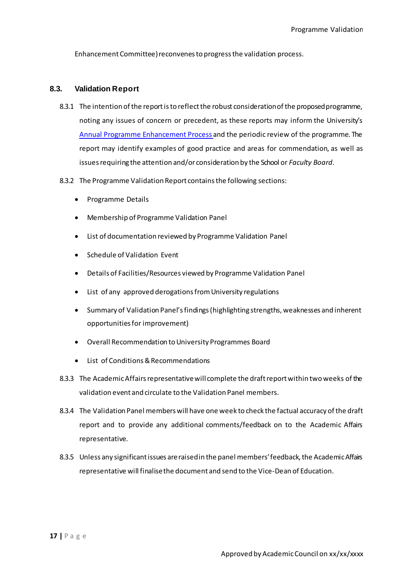Enhancement Committee) reconvenes to progress the validation process.

#### <span id="page-16-0"></span>**8.3. Validation Report**

- 8.3.1 The intention of the report is to reflect the robust consideration of the proposed programme, noting any issues of concern or precedent, as these reports may inform the University's Annual Programme Enhancement Process and the periodic review of the programme. The report may identify examples of good practice and areas for commendation, as well as issues requiring the attention and/or consideration by the School or *Faculty Board*.
- 8.3.2 The Programme Validation Report contains the following sections:
	- Programme Details
	- Membership of Programme Validation Panel
	- List of documentation reviewed by Programme Validation Panel
	- Schedule of Validation Event
	- Details of Facilities/Resources viewed by Programme Validation Panel
	- List of any approved derogations from University regulations
	- Summary of Validation Panel's findings (highlighting strengths, weaknesses and inherent opportunities for improvement)
	- Overall Recommendation to University Programmes Board
	- List of Conditions & Recommendations
- 8.3.3 The Academic Affairs representative will complete the draft report within two weeks of the validation event and circulate to the Validation Panel members.
- 8.3.4 The Validation Panel members will have one week to check the factual accuracy of the draft report and to provide any additional comments/feedback on to the Academic Affairs representative.
- 8.3.5 Unless any significant issues are raised in the panel members'feedback, the Academic Affairs representative will finalisethe document and send to the Vice-Dean of Education.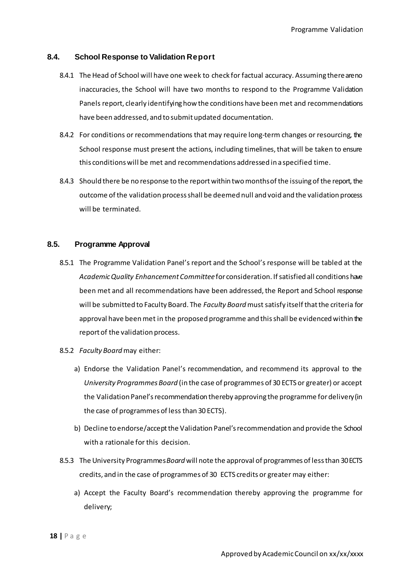#### <span id="page-17-0"></span>**8.4. School Response to Validation Report**

- 8.4.1 The Head of School will have one week to check for factual accuracy. Assuming there are no inaccuracies, the School will have two months to respond to the Programme Validation Panels report, clearly identifying how the conditions have been met and recommendations have been addressed, and to submit updated documentation.
- 8.4.2 For conditions or recommendations that may require long-term changes or resourcing, the School response must present the actions, including timelines, that will be taken to ensure this conditions will be met and recommendations addressed in a specified time.
- 8.4.3 Should there be no response to the report within two months of the issuing of the report, the outcome of the validation process shall be deemed null and void and the validation process will be terminated.

#### <span id="page-17-1"></span>**8.5. Programme Approval**

- 8.5.1 The Programme Validation Panel's report and the School's response will be tabled at the *Academic Quality Enhancement Committee* for consideration. If satisfied all conditions have been met and all recommendations have been addressed, the Report and School response will be submitted to Faculty Board. The *Faculty Board* must satisfy itself that the criteria for approval have been met in the proposed programme and this shall be evidenced within the report of the validation process.
- 8.5.2 *Faculty Board* may either:
	- a) Endorse the Validation Panel's recommendation, and recommend its approval to the *University Programmes Board* (in the case of programmes of 30 ECTS or greater) or accept the Validation Panel's recommendation thereby approving the programme fordelivery (in the case of programmes of less than 30 ECTS).
	- b) Decline to endorse/accept the Validation Panel'srecommendation and provide the School with a rationale for this decision.
- 8.5.3 The University Programmes *Board* will note the approval of programmes of less than 30 ECTS credits, and in the case of programmes of 30 ECTS credits or greater may either:
	- a) Accept the Faculty Board's recommendation thereby approving the programme for delivery;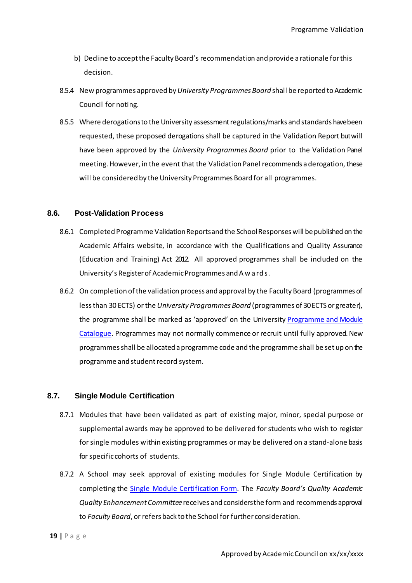- b) Decline to accept the Faculty Board's recommendation and provide a rationale for this decision.
- 8.5.4 New programmes approved by *University Programmes Board* shall be reported to Academic Council for noting.
- 8.5.5 Where derogations to the University assessment regulations/marks and standards have been requested, these proposed derogations shall be captured in the Validation Report but will have been approved by the *University Programmes Board* prior to the Validation Panel meeting. However, in the event that the Validation Panel recommends aderogation, these will be considered by the University Programmes Board for all programmes.

#### <span id="page-18-0"></span>**8.6. Post-Validation Process**

- 8.6.1 Completed Programme Validation Reports and the School Responses will be published on the Academic Affairs website, in accordance with the Qualifications and Quality Assurance (Education and Training) Act 2012. All approved programmes shall be included on the University's Registerof Academic Programmes and Awards.
- 8.6.2 On completion of the validation process and approval by the Faculty Board (programmes of less than 30 ECTS) or the *University Programmes Board* (programmes of 30 ECTS or greater), the programme shall be marked as 'approved' on the Universit[y Programme and Module](https://dit.akarisoftware.com/curriculum/)  [Catalogue.](https://dit.akarisoftware.com/curriculum/) Programmes may not normally commence or recruit until fully approved. New programmes shall be allocated aprogramme code and the programme shall be set up on the programme and student record system.

#### <span id="page-18-1"></span>**8.7. Single Module Certification**

- 8.7.1 Modules that have been validated as part of existing major, minor, special purpose or supplemental awards may be approved to be delivered forstudents who wish to register for single modules within existing programmes or may be delivered on a stand-alone basis for specific cohorts of students.
- 8.7.2 A School may seek approval of existing modules for Single Module Certification by completing the Single Module Certification Form. The *Faculty Board's Quality Academic Quality Enhancement Committee* receives and considers the form and recommends approval to *Faculty Board*, or refers back to the School for further consideration.

**19 |** P a g e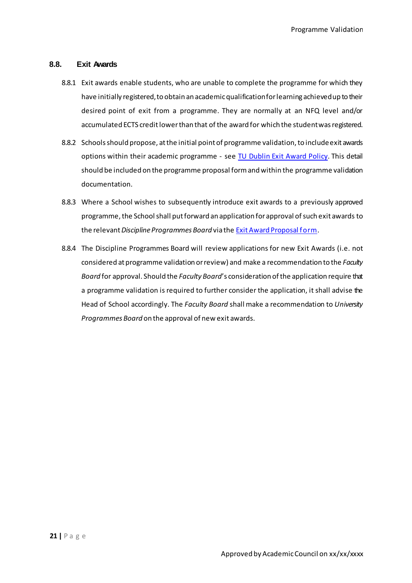#### <span id="page-19-0"></span>**8.8. Exit Awards**

- 8.8.1 Exit awards enable students, who are unable to complete the programme for which they have initially registered, to obtain an academicqualification for learning achievedup to their desired point of exit from a programme. They are normally at an NFQ level and/or accumulated ECTS credit lower than that of the award for which the studentwas registered.
- 8.8.2 Schools should propose, at the initial point of programme validation, to include exit awards options within their academic programme - see TU Dublin Exit Award Policy. This detail should be included on the programme proposal form and within the programme validation documentation.
- 8.8.3 Where a School wishes to subsequently introduce exit awards to a previously approved programme, the School shall put forward an application for approval of such exit awards to the relevant *Discipline Programmes Board* via the Exit Award Proposal form.
- 8.8.4 The Discipline Programmes Board will review applications for new Exit Awards (i.e. not considered at programme validation orreview) and make a recommendation to the *Faculty Board* for approval. Should the *Faculty Board*'s consideration of the application require that a programme validation is required to further consider the application, it shall advise the Head of School accordingly. The *Faculty Board* shall make a recommendation to *University Programmes Board* on the approval of new exit awards.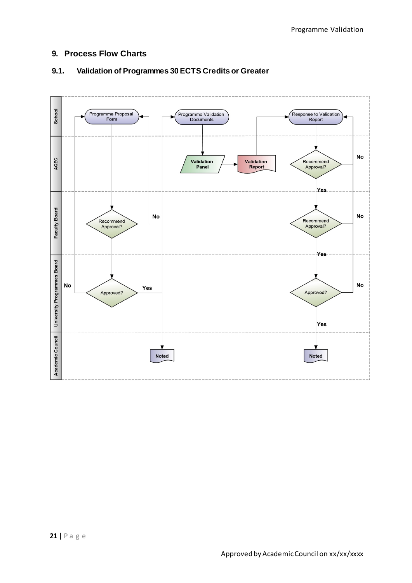# <span id="page-20-0"></span>**9. Process Flow Charts**



# <span id="page-20-1"></span>**9.1. Validation of Programmes 30 ECTS Credits or Greater**